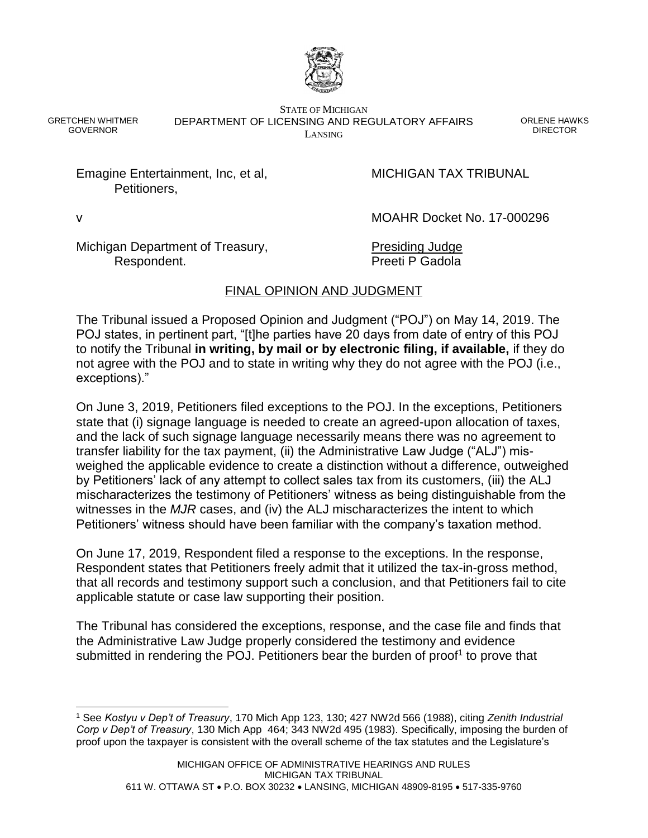

GRETCHEN WHITMER GOVERNOR

STATE OF MICHIGAN DEPARTMENT OF LICENSING AND REGULATORY AFFAIRS LANSING

ORLENE HAWKS DIRECTOR

Emagine Entertainment, Inc, et al, MICHIGAN TAX TRIBUNAL Petitioners,

l

v MOAHR Docket No. 17-000296

Michigan Department of Treasury, Presiding Judge Respondent. **Preeti P Gadola** 

# FINAL OPINION AND JUDGMENT

The Tribunal issued a Proposed Opinion and Judgment ("POJ") on May 14, 2019. The POJ states, in pertinent part, "[t]he parties have 20 days from date of entry of this POJ to notify the Tribunal **in writing, by mail or by electronic filing, if available,** if they do not agree with the POJ and to state in writing why they do not agree with the POJ (i.e., exceptions)."

On June 3, 2019, Petitioners filed exceptions to the POJ. In the exceptions, Petitioners state that (i) signage language is needed to create an agreed-upon allocation of taxes, and the lack of such signage language necessarily means there was no agreement to transfer liability for the tax payment, (ii) the Administrative Law Judge ("ALJ") misweighed the applicable evidence to create a distinction without a difference, outweighed by Petitioners' lack of any attempt to collect sales tax from its customers, (iii) the ALJ mischaracterizes the testimony of Petitioners' witness as being distinguishable from the witnesses in the *MJR* cases, and (iv) the ALJ mischaracterizes the intent to which Petitioners' witness should have been familiar with the company's taxation method.

On June 17, 2019, Respondent filed a response to the exceptions. In the response, Respondent states that Petitioners freely admit that it utilized the tax-in-gross method, that all records and testimony support such a conclusion, and that Petitioners fail to cite applicable statute or case law supporting their position.

The Tribunal has considered the exceptions, response, and the case file and finds that the Administrative Law Judge properly considered the testimony and evidence submitted in rendering the POJ. Petitioners bear the burden of proof<sup>1</sup> to prove that

<sup>1</sup> See *Kostyu v Dep't of Treasury*, 170 Mich App 123, 130; 427 NW2d 566 (1988), citing *Zenith Industrial Corp v Dep't of Treasury*, 130 Mich App 464; 343 NW2d 495 (1983). Specifically, imposing the burden of proof upon the taxpayer is consistent with the overall scheme of the tax statutes and the Legislature's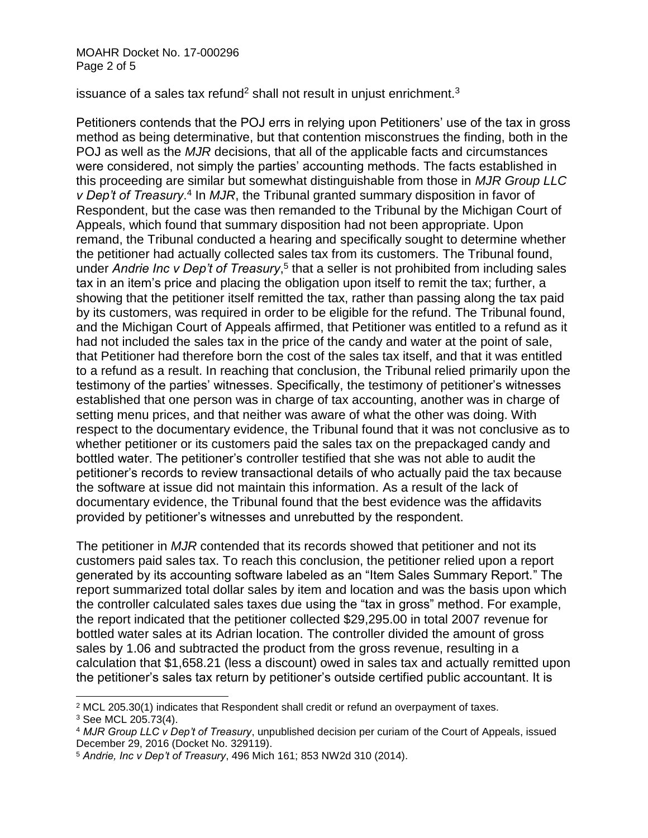issuance of a sales tax refund<sup>2</sup> shall not result in unjust enrichment. $3$ 

Petitioners contends that the POJ errs in relying upon Petitioners' use of the tax in gross method as being determinative, but that contention misconstrues the finding, both in the POJ as well as the *MJR* decisions, that all of the applicable facts and circumstances were considered, not simply the parties' accounting methods. The facts established in this proceeding are similar but somewhat distinguishable from those in *MJR Group LLC*  v Dep't of Treasury.<sup>4</sup> In MJR, the Tribunal granted summary disposition in favor of Respondent, but the case was then remanded to the Tribunal by the Michigan Court of Appeals, which found that summary disposition had not been appropriate. Upon remand, the Tribunal conducted a hearing and specifically sought to determine whether the petitioner had actually collected sales tax from its customers. The Tribunal found, under Andrie Inc v Dep't of Treasury,<sup>5</sup> that a seller is not prohibited from including sales tax in an item's price and placing the obligation upon itself to remit the tax; further, a showing that the petitioner itself remitted the tax, rather than passing along the tax paid by its customers, was required in order to be eligible for the refund. The Tribunal found, and the Michigan Court of Appeals affirmed, that Petitioner was entitled to a refund as it had not included the sales tax in the price of the candy and water at the point of sale, that Petitioner had therefore born the cost of the sales tax itself, and that it was entitled to a refund as a result. In reaching that conclusion, the Tribunal relied primarily upon the testimony of the parties' witnesses. Specifically, the testimony of petitioner's witnesses established that one person was in charge of tax accounting, another was in charge of setting menu prices, and that neither was aware of what the other was doing. With respect to the documentary evidence, the Tribunal found that it was not conclusive as to whether petitioner or its customers paid the sales tax on the prepackaged candy and bottled water. The petitioner's controller testified that she was not able to audit the petitioner's records to review transactional details of who actually paid the tax because the software at issue did not maintain this information. As a result of the lack of documentary evidence, the Tribunal found that the best evidence was the affidavits provided by petitioner's witnesses and unrebutted by the respondent.

The petitioner in *MJR* contended that its records showed that petitioner and not its customers paid sales tax. To reach this conclusion, the petitioner relied upon a report generated by its accounting software labeled as an "Item Sales Summary Report." The report summarized total dollar sales by item and location and was the basis upon which the controller calculated sales taxes due using the "tax in gross" method. For example, the report indicated that the petitioner collected \$29,295.00 in total 2007 revenue for bottled water sales at its Adrian location. The controller divided the amount of gross sales by 1.06 and subtracted the product from the gross revenue, resulting in a calculation that \$1,658.21 (less a discount) owed in sales tax and actually remitted upon the petitioner's sales tax return by petitioner's outside certified public accountant. It is

l <sup>2</sup> MCL 205.30(1) indicates that Respondent shall credit or refund an overpayment of taxes.

<sup>3</sup> See MCL 205.73(4).

<sup>4</sup> *MJR Group LLC v Dep't of Treasury*, unpublished decision per curiam of the Court of Appeals, issued December 29, 2016 (Docket No. 329119).

<sup>5</sup> *Andrie, Inc v Dep't of Treasury*, 496 Mich 161; 853 NW2d 310 (2014).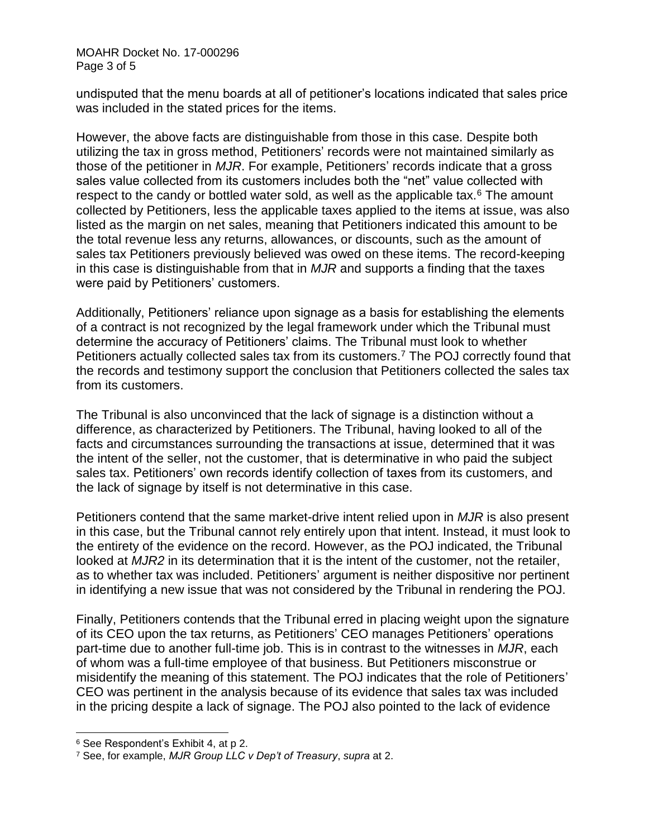#### MOAHR Docket No. 17-000296 Page 3 of 5

undisputed that the menu boards at all of petitioner's locations indicated that sales price was included in the stated prices for the items.

However, the above facts are distinguishable from those in this case. Despite both utilizing the tax in gross method, Petitioners' records were not maintained similarly as those of the petitioner in *MJR*. For example, Petitioners' records indicate that a gross sales value collected from its customers includes both the "net" value collected with respect to the candy or bottled water sold, as well as the applicable tax. $6$  The amount collected by Petitioners, less the applicable taxes applied to the items at issue, was also listed as the margin on net sales, meaning that Petitioners indicated this amount to be the total revenue less any returns, allowances, or discounts, such as the amount of sales tax Petitioners previously believed was owed on these items. The record-keeping in this case is distinguishable from that in *MJR* and supports a finding that the taxes were paid by Petitioners' customers.

Additionally, Petitioners' reliance upon signage as a basis for establishing the elements of a contract is not recognized by the legal framework under which the Tribunal must determine the accuracy of Petitioners' claims. The Tribunal must look to whether Petitioners actually collected sales tax from its customers.<sup>7</sup> The POJ correctly found that the records and testimony support the conclusion that Petitioners collected the sales tax from its customers.

The Tribunal is also unconvinced that the lack of signage is a distinction without a difference, as characterized by Petitioners. The Tribunal, having looked to all of the facts and circumstances surrounding the transactions at issue, determined that it was the intent of the seller, not the customer, that is determinative in who paid the subject sales tax. Petitioners' own records identify collection of taxes from its customers, and the lack of signage by itself is not determinative in this case.

Petitioners contend that the same market-drive intent relied upon in *MJR* is also present in this case, but the Tribunal cannot rely entirely upon that intent. Instead, it must look to the entirety of the evidence on the record. However, as the POJ indicated, the Tribunal looked at *MJR2* in its determination that it is the intent of the customer, not the retailer, as to whether tax was included. Petitioners' argument is neither dispositive nor pertinent in identifying a new issue that was not considered by the Tribunal in rendering the POJ.

Finally, Petitioners contends that the Tribunal erred in placing weight upon the signature of its CEO upon the tax returns, as Petitioners' CEO manages Petitioners' operations part-time due to another full-time job. This is in contrast to the witnesses in *MJR*, each of whom was a full-time employee of that business. But Petitioners misconstrue or misidentify the meaning of this statement. The POJ indicates that the role of Petitioners' CEO was pertinent in the analysis because of its evidence that sales tax was included in the pricing despite a lack of signage. The POJ also pointed to the lack of evidence

<sup>6</sup> See Respondent's Exhibit 4, at p 2.

<sup>7</sup> See, for example, *MJR Group LLC v Dep't of Treasury*, *supra* at 2.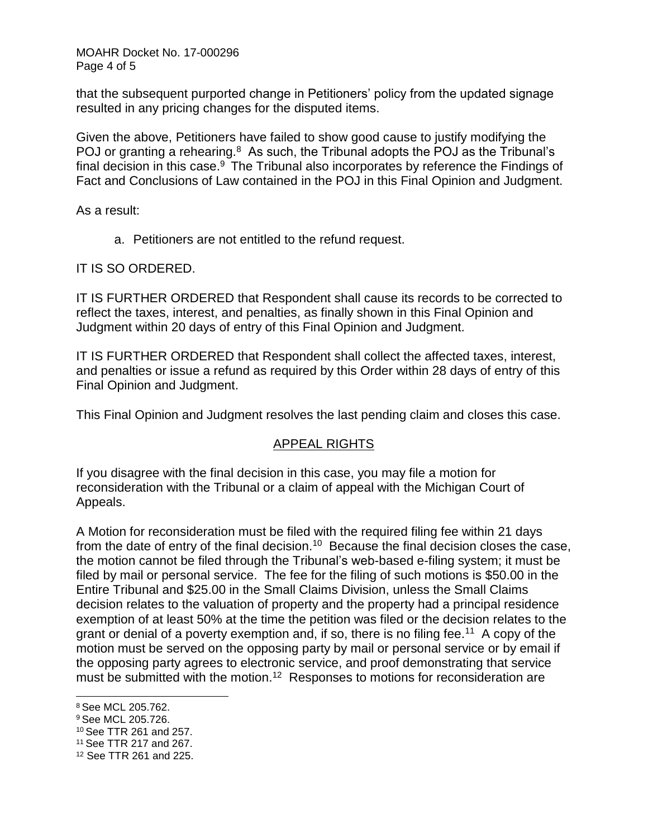MOAHR Docket No. 17-000296 Page 4 of 5

that the subsequent purported change in Petitioners' policy from the updated signage resulted in any pricing changes for the disputed items.

Given the above, Petitioners have failed to show good cause to justify modifying the POJ or granting a rehearing. $8$  As such, the Tribunal adopts the POJ as the Tribunal's final decision in this case. $9$  The Tribunal also incorporates by reference the Findings of Fact and Conclusions of Law contained in the POJ in this Final Opinion and Judgment.

As a result:

a. Petitioners are not entitled to the refund request.

IT IS SO ORDERED.

IT IS FURTHER ORDERED that Respondent shall cause its records to be corrected to reflect the taxes, interest, and penalties, as finally shown in this Final Opinion and Judgment within 20 days of entry of this Final Opinion and Judgment.

IT IS FURTHER ORDERED that Respondent shall collect the affected taxes, interest, and penalties or issue a refund as required by this Order within 28 days of entry of this Final Opinion and Judgment.

This Final Opinion and Judgment resolves the last pending claim and closes this case.

# APPEAL RIGHTS

If you disagree with the final decision in this case, you may file a motion for reconsideration with the Tribunal or a claim of appeal with the Michigan Court of Appeals.

A Motion for reconsideration must be filed with the required filing fee within 21 days from the date of entry of the final decision.<sup>10</sup> Because the final decision closes the case, the motion cannot be filed through the Tribunal's web-based e-filing system; it must be filed by mail or personal service. The fee for the filing of such motions is \$50.00 in the Entire Tribunal and \$25.00 in the Small Claims Division, unless the Small Claims decision relates to the valuation of property and the property had a principal residence exemption of at least 50% at the time the petition was filed or the decision relates to the grant or denial of a poverty exemption and, if so, there is no filing fee.<sup>11</sup> A copy of the motion must be served on the opposing party by mail or personal service or by email if the opposing party agrees to electronic service, and proof demonstrating that service must be submitted with the motion.<sup>12</sup> Responses to motions for reconsideration are

<sup>8</sup> See MCL 205.762.

<sup>9</sup> See MCL 205.726.

<sup>10</sup> See TTR 261 and 257.

<sup>11</sup> See TTR 217 and 267.

<sup>12</sup> See TTR 261 and 225.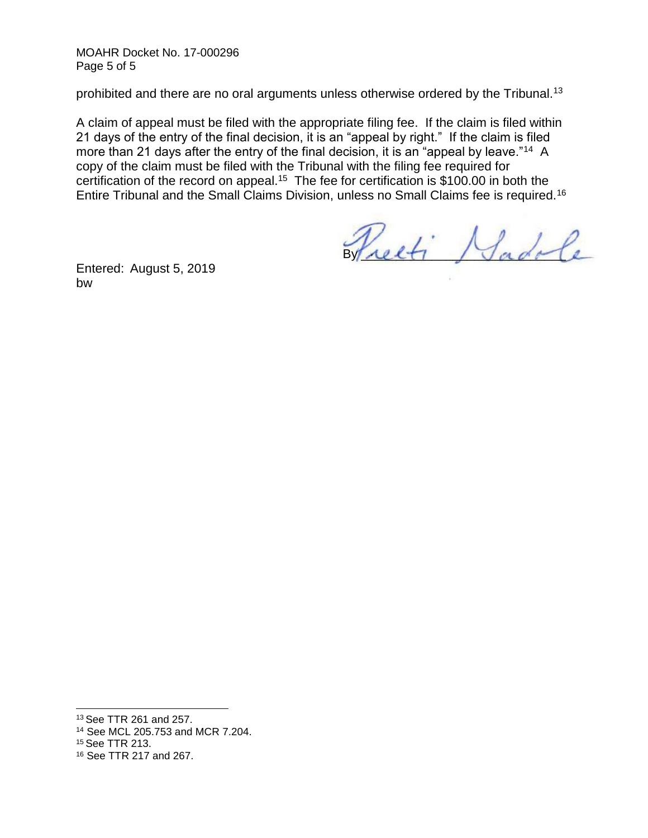MOAHR Docket No. 17-000296 Page 5 of 5

prohibited and there are no oral arguments unless otherwise ordered by the Tribunal.<sup>13</sup>

A claim of appeal must be filed with the appropriate filing fee. If the claim is filed within 21 days of the entry of the final decision, it is an "appeal by right." If the claim is filed more than 21 days after the entry of the final decision, it is an "appeal by leave."<sup>14</sup> A copy of the claim must be filed with the Tribunal with the filing fee required for certification of the record on appeal.<sup>15</sup> The fee for certification is \$100.00 in both the Entire Tribunal and the Small Claims Division, unless no Small Claims fee is required.<sup>16</sup>

Weeti Hadole

Entered: August 5, 2019 bw

<sup>13</sup> See TTR 261 and 257.

<sup>14</sup> See MCL 205.753 and MCR 7.204.

<sup>15</sup> See TTR 213.

<sup>16</sup> See TTR 217 and 267.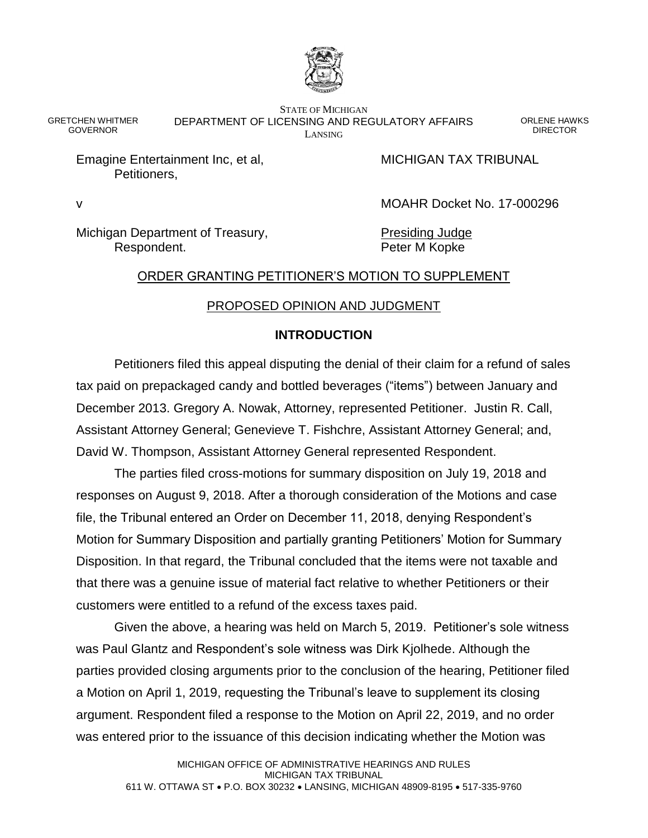

STATE OF MICHIGAN DEPARTMENT OF LICENSING AND REGULATORY AFFAIRS LANSING

ORLENE HAWKS **DIRECTOR** 

Emagine Entertainment Inc, et al, MICHIGAN TAX TRIBUNAL Petitioners,

GRETCHEN WHITMER GOVERNOR

v MOAHR Docket No. 17-000296

Michigan Department of Treasury, Presiding Judge Respondent. The expondent of the extent of the Peter M Kopke

### ORDER GRANTING PETITIONER'S MOTION TO SUPPLEMENT

### PROPOSED OPINION AND JUDGMENT

### **INTRODUCTION**

Petitioners filed this appeal disputing the denial of their claim for a refund of sales tax paid on prepackaged candy and bottled beverages ("items") between January and December 2013. Gregory A. Nowak, Attorney, represented Petitioner. Justin R. Call, Assistant Attorney General; Genevieve T. Fishchre, Assistant Attorney General; and, David W. Thompson, Assistant Attorney General represented Respondent.

The parties filed cross-motions for summary disposition on July 19, 2018 and responses on August 9, 2018. After a thorough consideration of the Motions and case file, the Tribunal entered an Order on December 11, 2018, denying Respondent's Motion for Summary Disposition and partially granting Petitioners' Motion for Summary Disposition. In that regard, the Tribunal concluded that the items were not taxable and that there was a genuine issue of material fact relative to whether Petitioners or their customers were entitled to a refund of the excess taxes paid.

Given the above, a hearing was held on March 5, 2019. Petitioner's sole witness was Paul Glantz and Respondent's sole witness was Dirk Kjolhede. Although the parties provided closing arguments prior to the conclusion of the hearing, Petitioner filed a Motion on April 1, 2019, requesting the Tribunal's leave to supplement its closing argument. Respondent filed a response to the Motion on April 22, 2019, and no order was entered prior to the issuance of this decision indicating whether the Motion was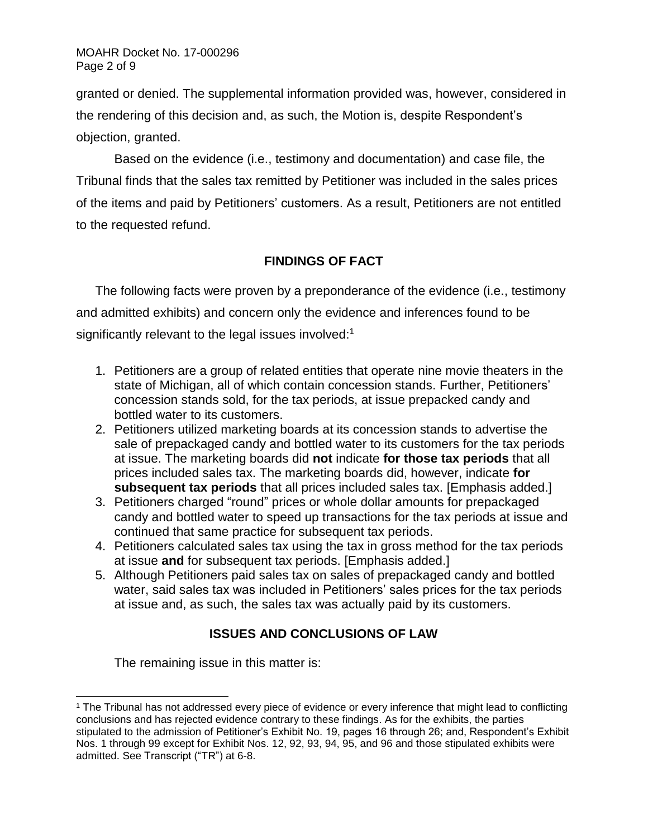granted or denied. The supplemental information provided was, however, considered in the rendering of this decision and, as such, the Motion is, despite Respondent's objection, granted.

Based on the evidence (i.e., testimony and documentation) and case file, the Tribunal finds that the sales tax remitted by Petitioner was included in the sales prices of the items and paid by Petitioners' customers. As a result, Petitioners are not entitled to the requested refund.

# **FINDINGS OF FACT**

The following facts were proven by a preponderance of the evidence (i.e., testimony and admitted exhibits) and concern only the evidence and inferences found to be significantly relevant to the legal issues involved: $1$ 

- 1. Petitioners are a group of related entities that operate nine movie theaters in the state of Michigan, all of which contain concession stands. Further, Petitioners' concession stands sold, for the tax periods, at issue prepacked candy and bottled water to its customers.
- 2. Petitioners utilized marketing boards at its concession stands to advertise the sale of prepackaged candy and bottled water to its customers for the tax periods at issue. The marketing boards did **not** indicate **for those tax periods** that all prices included sales tax. The marketing boards did, however, indicate **for subsequent tax periods** that all prices included sales tax. [Emphasis added.]
- 3. Petitioners charged "round" prices or whole dollar amounts for prepackaged candy and bottled water to speed up transactions for the tax periods at issue and continued that same practice for subsequent tax periods.
- 4. Petitioners calculated sales tax using the tax in gross method for the tax periods at issue **and** for subsequent tax periods. [Emphasis added.]
- 5. Although Petitioners paid sales tax on sales of prepackaged candy and bottled water, said sales tax was included in Petitioners' sales prices for the tax periods at issue and, as such, the sales tax was actually paid by its customers.

# **ISSUES AND CONCLUSIONS OF LAW**

The remaining issue in this matter is:

<sup>1</sup> The Tribunal has not addressed every piece of evidence or every inference that might lead to conflicting conclusions and has rejected evidence contrary to these findings. As for the exhibits, the parties stipulated to the admission of Petitioner's Exhibit No. 19, pages 16 through 26; and, Respondent's Exhibit Nos. 1 through 99 except for Exhibit Nos. 12, 92, 93, 94, 95, and 96 and those stipulated exhibits were admitted. See Transcript ("TR") at 6-8.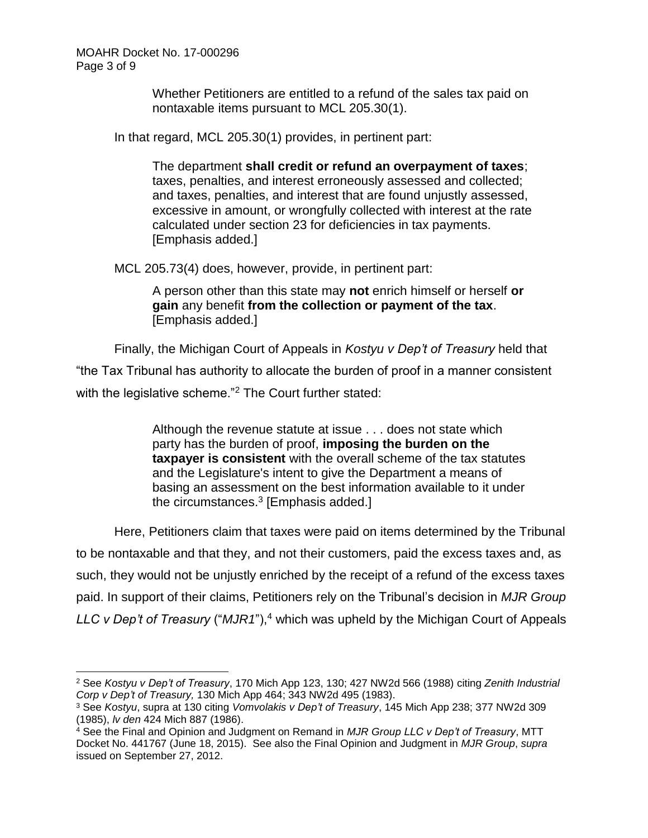Whether Petitioners are entitled to a refund of the sales tax paid on nontaxable items pursuant to MCL 205.30(1).

In that regard, MCL 205.30(1) provides, in pertinent part:

The department **shall credit or refund an overpayment of taxes**; taxes, penalties, and interest erroneously assessed and collected; and taxes, penalties, and interest that are found unjustly assessed, excessive in amount, or wrongfully collected with interest at the rate calculated under section 23 for deficiencies in tax payments. [Emphasis added.]

MCL 205.73(4) does, however, provide, in pertinent part:

A person other than this state may **not** enrich himself or herself **or gain** any benefit **from the collection or payment of the tax**. [Emphasis added.]

Finally, the Michigan Court of Appeals in *Kostyu v Dep't of Treasury* held that

"the Tax Tribunal has authority to allocate the burden of proof in a manner consistent with the legislative scheme."<sup>2</sup> The Court further stated:

> Although the revenue statute at issue . . . does not state which party has the burden of proof, **imposing the burden on the taxpayer is consistent** with the overall scheme of the tax statutes and the Legislature's intent to give the Department a means of basing an assessment on the best information available to it under the circumstances. $^3$  [Emphasis added.]

Here, Petitioners claim that taxes were paid on items determined by the Tribunal to be nontaxable and that they, and not their customers, paid the excess taxes and, as such, they would not be unjustly enriched by the receipt of a refund of the excess taxes paid. In support of their claims, Petitioners rely on the Tribunal's decision in *MJR Group LLC v Dep't of Treasury* ("*MJR1*"), <sup>4</sup> which was upheld by the Michigan Court of Appeals

l <sup>2</sup> See *Kostyu v Dep't of Treasury*, 170 Mich App 123, 130; 427 NW2d 566 (1988) citing *Zenith Industrial Corp v Dep't of Treasury,* 130 Mich App 464; 343 NW2d 495 (1983).

<sup>3</sup> See *Kostyu*, supra at 130 citing *Vomvolakis v Dep't of Treasury*, 145 Mich App 238; 377 NW2d 309 (1985), *lv den* 424 Mich 887 (1986).

<sup>4</sup> See the Final and Opinion and Judgment on Remand in *MJR Group LLC v Dep't of Treasury*, MTT Docket No. 441767 (June 18, 2015). See also the Final Opinion and Judgment in *MJR Group*, *supra* issued on September 27, 2012.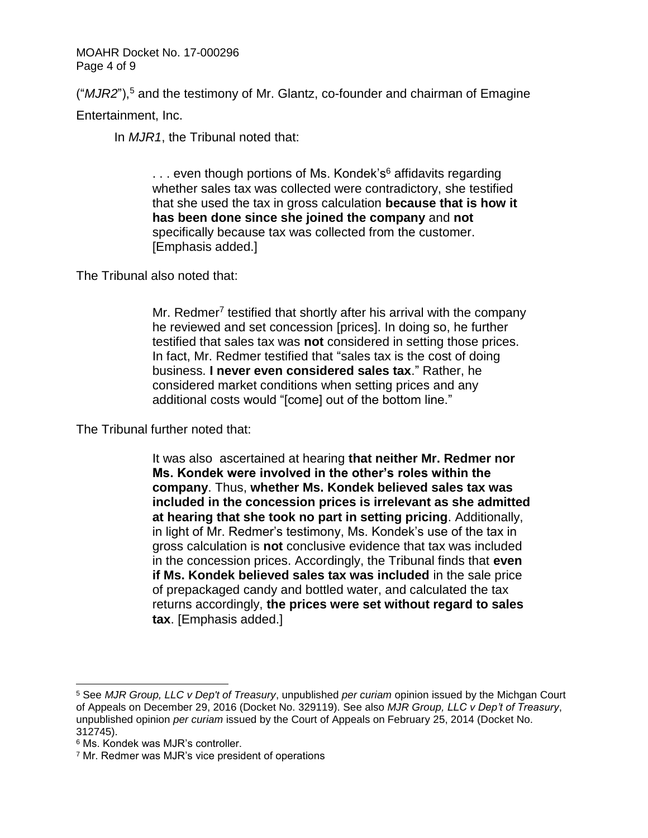MOAHR Docket No. 17-000296 Page 4 of 9

("*MJR2*"), <sup>5</sup> and the testimony of Mr. Glantz, co-founder and chairman of Emagine

Entertainment, Inc.

In *MJR1*, the Tribunal noted that:

 $\ldots$  even though portions of Ms. Kondek's<sup>6</sup> affidavits regarding whether sales tax was collected were contradictory, she testified that she used the tax in gross calculation **because that is how it has been done since she joined the company** and **not** specifically because tax was collected from the customer. [Emphasis added.]

The Tribunal also noted that:

Mr. Redmer<sup>7</sup> testified that shortly after his arrival with the company he reviewed and set concession [prices]. In doing so, he further testified that sales tax was **not** considered in setting those prices. In fact, Mr. Redmer testified that "sales tax is the cost of doing business. **I never even considered sales tax**." Rather, he considered market conditions when setting prices and any additional costs would "[come] out of the bottom line."

The Tribunal further noted that:

It was also ascertained at hearing **that neither Mr. Redmer nor Ms. Kondek were involved in the other's roles within the company**. Thus, **whether Ms. Kondek believed sales tax was included in the concession prices is irrelevant as she admitted at hearing that she took no part in setting pricing**. Additionally, in light of Mr. Redmer's testimony, Ms. Kondek's use of the tax in gross calculation is **not** conclusive evidence that tax was included in the concession prices. Accordingly, the Tribunal finds that **even if Ms. Kondek believed sales tax was included** in the sale price of prepackaged candy and bottled water, and calculated the tax returns accordingly, **the prices were set without regard to sales tax**. [Emphasis added.]

<sup>5</sup> See *MJR Group, LLC v Dep't of Treasury*, unpublished *per curiam* opinion issued by the Michgan Court of Appeals on December 29, 2016 (Docket No. 329119). See also *MJR Group, LLC v Dep't of Treasury*, unpublished opinion *per curiam* issued by the Court of Appeals on February 25, 2014 (Docket No. 312745).

<sup>6</sup> Ms. Kondek was MJR's controller.

<sup>7</sup> Mr. Redmer was MJR's vice president of operations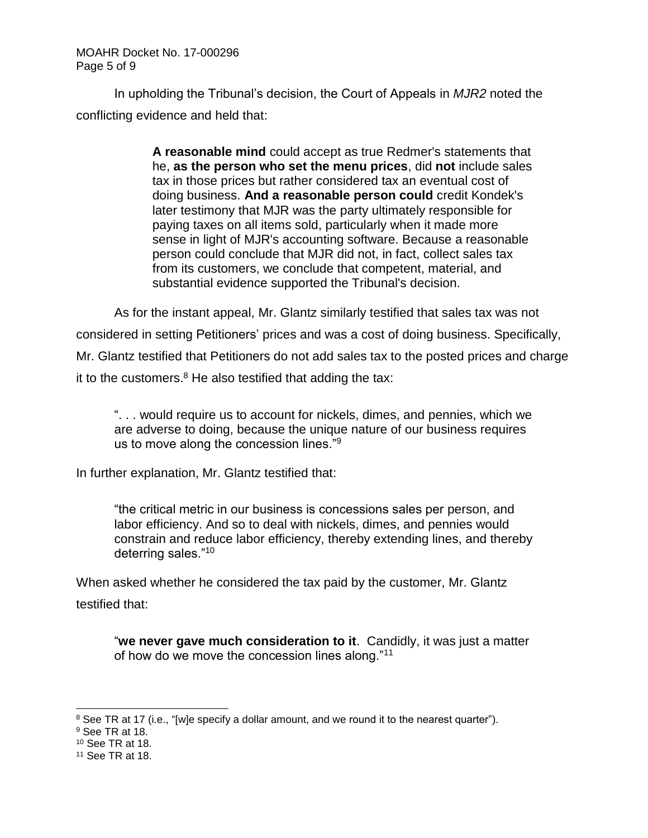#### MOAHR Docket No. 17-000296 Page 5 of 9

In upholding the Tribunal's decision, the Court of Appeals in *MJR2* noted the conflicting evidence and held that:

> **A reasonable mind** could accept as true Redmer's statements that he, **as the person who set the menu prices**, did **not** include sales tax in those prices but rather considered tax an eventual cost of doing business. **And a reasonable person could** credit Kondek's later testimony that MJR was the party ultimately responsible for paying taxes on all items sold, particularly when it made more sense in light of MJR's accounting software. Because a reasonable person could conclude that MJR did not, in fact, collect sales tax from its customers, we conclude that competent, material, and substantial evidence supported the Tribunal's decision.

As for the instant appeal, Mr. Glantz similarly testified that sales tax was not considered in setting Petitioners' prices and was a cost of doing business. Specifically, Mr. Glantz testified that Petitioners do not add sales tax to the posted prices and charge it to the customers.<sup>8</sup> He also testified that adding the tax:

". . . would require us to account for nickels, dimes, and pennies, which we are adverse to doing, because the unique nature of our business requires us to move along the concession lines."<sup>9</sup>

In further explanation, Mr. Glantz testified that:

"the critical metric in our business is concessions sales per person, and labor efficiency. And so to deal with nickels, dimes, and pennies would constrain and reduce labor efficiency, thereby extending lines, and thereby deterring sales."<sup>10</sup>

When asked whether he considered the tax paid by the customer, Mr. Glantz testified that:

"**we never gave much consideration to it**. Candidly, it was just a matter of how do we move the concession lines along."<sup>11</sup>

l <sup>8</sup> See TR at 17 (i.e., "[w]e specify a dollar amount, and we round it to the nearest quarter").

<sup>9</sup> See TR at 18.

<sup>10</sup> See TR at 18.

<sup>11</sup> See TR at 18.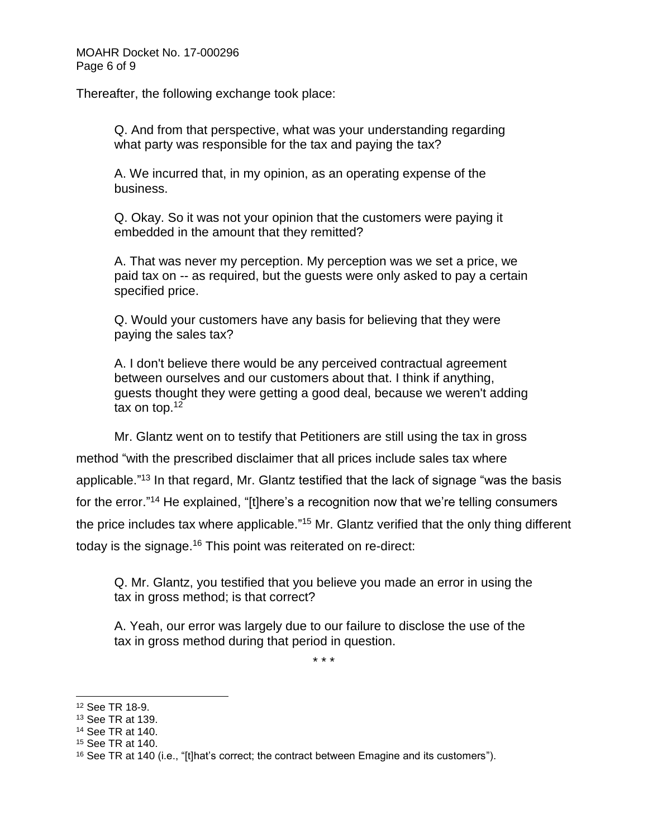Thereafter, the following exchange took place:

Q. And from that perspective, what was your understanding regarding what party was responsible for the tax and paying the tax?

A. We incurred that, in my opinion, as an operating expense of the business.

Q. Okay. So it was not your opinion that the customers were paying it embedded in the amount that they remitted?

A. That was never my perception. My perception was we set a price, we paid tax on -- as required, but the guests were only asked to pay a certain specified price.

Q. Would your customers have any basis for believing that they were paying the sales tax?

A. I don't believe there would be any perceived contractual agreement between ourselves and our customers about that. I think if anything, guests thought they were getting a good deal, because we weren't adding tax on top.<sup>12</sup>

Mr. Glantz went on to testify that Petitioners are still using the tax in gross method "with the prescribed disclaimer that all prices include sales tax where applicable."<sup>13</sup> In that regard, Mr. Glantz testified that the lack of signage "was the basis for the error."<sup>14</sup> He explained, "[t]here's a recognition now that we're telling consumers the price includes tax where applicable."<sup>15</sup> Mr. Glantz verified that the only thing different today is the signage.<sup>16</sup> This point was reiterated on re-direct:

Q. Mr. Glantz, you testified that you believe you made an error in using the tax in gross method; is that correct?

A. Yeah, our error was largely due to our failure to disclose the use of the tax in gross method during that period in question.

\* \* \*

<sup>12</sup> See TR 18-9.

<sup>13</sup> See TR at 139.

<sup>14</sup> See TR at 140.

<sup>15</sup> See TR at 140.

<sup>&</sup>lt;sup>16</sup> See TR at 140 (i.e., "[t]hat's correct; the contract between Emagine and its customers").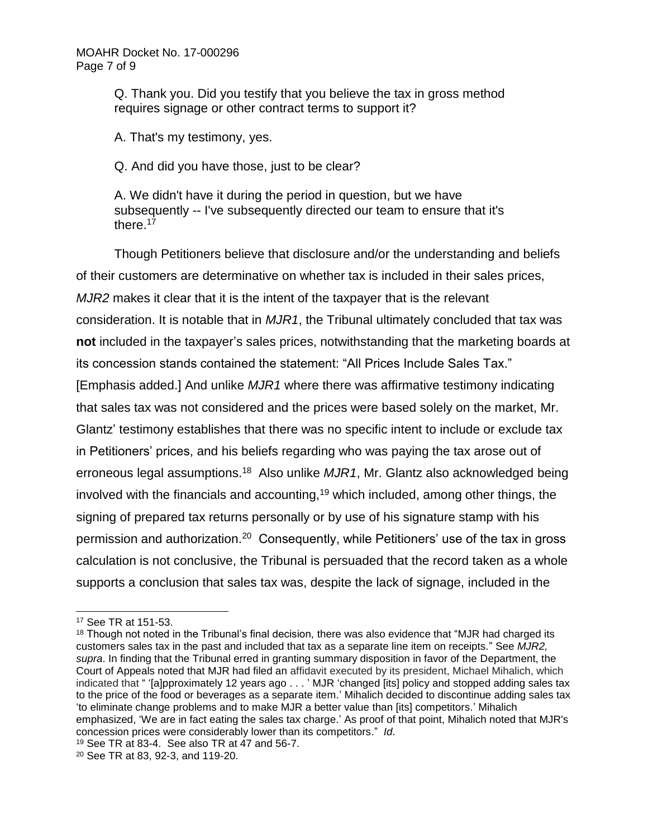Q. Thank you. Did you testify that you believe the tax in gross method requires signage or other contract terms to support it?

A. That's my testimony, yes.

Q. And did you have those, just to be clear?

A. We didn't have it during the period in question, but we have subsequently -- I've subsequently directed our team to ensure that it's there.<sup>17</sup>

Though Petitioners believe that disclosure and/or the understanding and beliefs of their customers are determinative on whether tax is included in their sales prices, *MJR2* makes it clear that it is the intent of the taxpayer that is the relevant consideration. It is notable that in *MJR1*, the Tribunal ultimately concluded that tax was **not** included in the taxpayer's sales prices, notwithstanding that the marketing boards at its concession stands contained the statement: "All Prices Include Sales Tax." [Emphasis added.] And unlike *MJR1* where there was affirmative testimony indicating that sales tax was not considered and the prices were based solely on the market, Mr. Glantz' testimony establishes that there was no specific intent to include or exclude tax in Petitioners' prices, and his beliefs regarding who was paying the tax arose out of erroneous legal assumptions.<sup>18</sup> Also unlike *MJR1*, Mr. Glantz also acknowledged being involved with the financials and accounting,<sup>19</sup> which included, among other things, the signing of prepared tax returns personally or by use of his signature stamp with his permission and authorization.<sup>20</sup> Consequently, while Petitioners' use of the tax in gross calculation is not conclusive, the Tribunal is persuaded that the record taken as a whole supports a conclusion that sales tax was, despite the lack of signage, included in the

<sup>17</sup> See TR at 151-53.

<sup>&</sup>lt;sup>18</sup> Though not noted in the Tribunal's final decision, there was also evidence that "MJR had charged its customers sales tax in the past and included that tax as a separate line item on receipts." See *MJR2, supra*. In finding that the Tribunal erred in granting summary disposition in favor of the Department, the Court of Appeals noted that MJR had filed an affidavit executed by its president, Michael Mihalich, which indicated that " '[a]pproximately 12 years ago . . . ' MJR 'changed [its] policy and stopped adding sales tax to the price of the food or beverages as a separate item.' Mihalich decided to discontinue adding sales tax 'to eliminate change problems and to make MJR a better value than [its] competitors.' Mihalich emphasized, 'We are in fact eating the sales tax charge.' As proof of that point, Mihalich noted that MJR's concession prices were considerably lower than its competitors." *Id*.

<sup>19</sup> See TR at 83-4. See also TR at 47 and 56-7.

<sup>20</sup> See TR at 83, 92-3, and 119-20.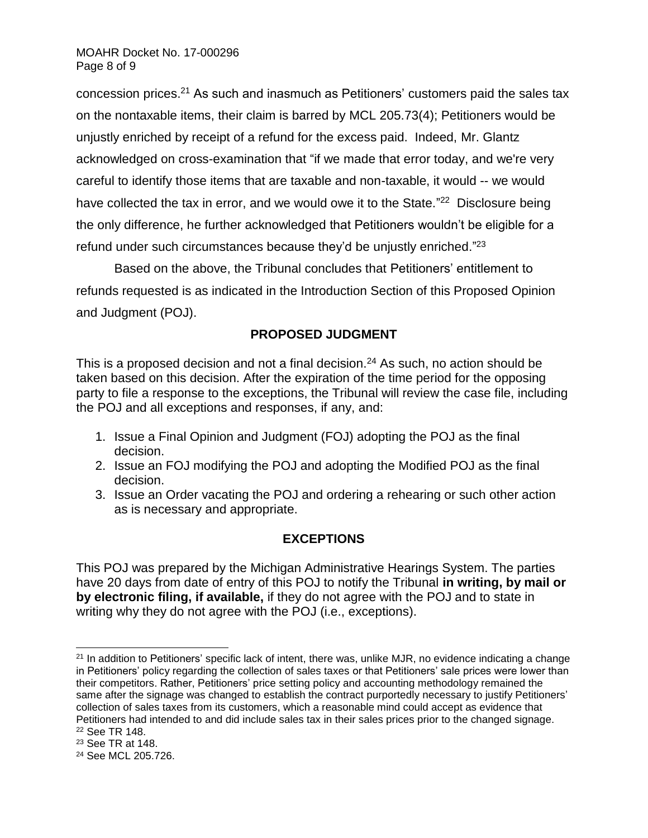concession prices. <sup>21</sup> As such and inasmuch as Petitioners' customers paid the sales tax on the nontaxable items, their claim is barred by MCL 205.73(4); Petitioners would be unjustly enriched by receipt of a refund for the excess paid. Indeed, Mr. Glantz acknowledged on cross-examination that "if we made that error today, and we're very careful to identify those items that are taxable and non-taxable, it would -- we would have collected the tax in error, and we would owe it to the State."<sup>22</sup> Disclosure being the only difference, he further acknowledged that Petitioners wouldn't be eligible for a refund under such circumstances because they'd be unjustly enriched."<sup>23</sup>

Based on the above, the Tribunal concludes that Petitioners' entitlement to refunds requested is as indicated in the Introduction Section of this Proposed Opinion and Judgment (POJ).

### **PROPOSED JUDGMENT**

This is a proposed decision and not a final decision.<sup>24</sup> As such, no action should be taken based on this decision. After the expiration of the time period for the opposing party to file a response to the exceptions, the Tribunal will review the case file, including the POJ and all exceptions and responses, if any, and:

- 1. Issue a Final Opinion and Judgment (FOJ) adopting the POJ as the final decision.
- 2. Issue an FOJ modifying the POJ and adopting the Modified POJ as the final decision.
- 3. Issue an Order vacating the POJ and ordering a rehearing or such other action as is necessary and appropriate.

# **EXCEPTIONS**

This POJ was prepared by the Michigan Administrative Hearings System. The parties have 20 days from date of entry of this POJ to notify the Tribunal **in writing, by mail or by electronic filing, if available,** if they do not agree with the POJ and to state in writing why they do not agree with the POJ (i.e., exceptions).

<sup>&</sup>lt;sup>21</sup> In addition to Petitioners' specific lack of intent, there was, unlike MJR, no evidence indicating a change in Petitioners' policy regarding the collection of sales taxes or that Petitioners' sale prices were lower than their competitors. Rather, Petitioners' price setting policy and accounting methodology remained the same after the signage was changed to establish the contract purportedly necessary to justify Petitioners' collection of sales taxes from its customers, which a reasonable mind could accept as evidence that Petitioners had intended to and did include sales tax in their sales prices prior to the changed signage. <sup>22</sup> See TR 148.

<sup>23</sup> See TR at 148.

<sup>24</sup> See MCL 205.726.